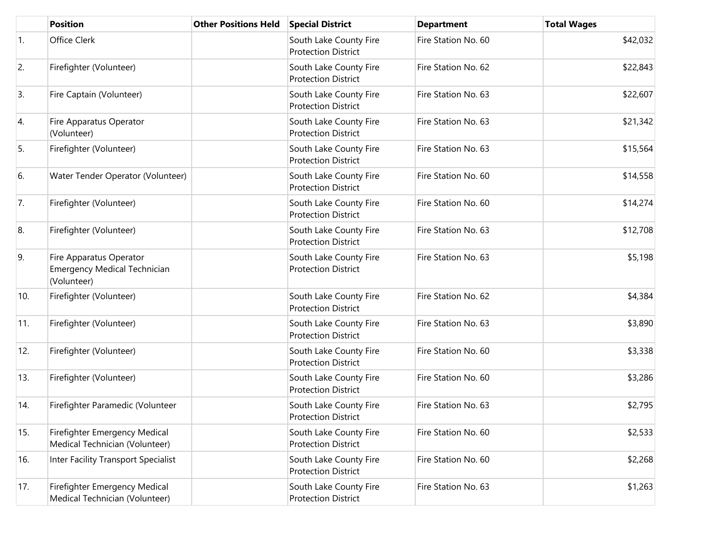|            | <b>Position</b>                                                               | <b>Other Positions Held</b> | <b>Special District</b>                              | <b>Department</b>   | <b>Total Wages</b> |
|------------|-------------------------------------------------------------------------------|-----------------------------|------------------------------------------------------|---------------------|--------------------|
| $\vert$ 1. | Office Clerk                                                                  |                             | South Lake County Fire<br><b>Protection District</b> | Fire Station No. 60 | \$42,032           |
| 2.         | Firefighter (Volunteer)                                                       |                             | South Lake County Fire<br><b>Protection District</b> | Fire Station No. 62 | \$22,843           |
| 3.         | Fire Captain (Volunteer)                                                      |                             | South Lake County Fire<br><b>Protection District</b> | Fire Station No. 63 | \$22,607           |
| 4.         | Fire Apparatus Operator<br>(Volunteer)                                        |                             | South Lake County Fire<br><b>Protection District</b> | Fire Station No. 63 | \$21,342           |
| 5.         | Firefighter (Volunteer)                                                       |                             | South Lake County Fire<br><b>Protection District</b> | Fire Station No. 63 | \$15,564           |
| 6.         | Water Tender Operator (Volunteer)                                             |                             | South Lake County Fire<br><b>Protection District</b> | Fire Station No. 60 | \$14,558           |
| 7.         | Firefighter (Volunteer)                                                       |                             | South Lake County Fire<br><b>Protection District</b> | Fire Station No. 60 | \$14,274           |
| 8.         | Firefighter (Volunteer)                                                       |                             | South Lake County Fire<br><b>Protection District</b> | Fire Station No. 63 | \$12,708           |
| 9.         | Fire Apparatus Operator<br><b>Emergency Medical Technician</b><br>(Volunteer) |                             | South Lake County Fire<br><b>Protection District</b> | Fire Station No. 63 | \$5,198            |
| 10.        | Firefighter (Volunteer)                                                       |                             | South Lake County Fire<br><b>Protection District</b> | Fire Station No. 62 | \$4,384            |
| 11.        | Firefighter (Volunteer)                                                       |                             | South Lake County Fire<br><b>Protection District</b> | Fire Station No. 63 | \$3,890            |
| 12.        | Firefighter (Volunteer)                                                       |                             | South Lake County Fire<br><b>Protection District</b> | Fire Station No. 60 | \$3,338            |
| 13.        | Firefighter (Volunteer)                                                       |                             | South Lake County Fire<br><b>Protection District</b> | Fire Station No. 60 | \$3,286            |
| 14.        | Firefighter Paramedic (Volunteer                                              |                             | South Lake County Fire<br><b>Protection District</b> | Fire Station No. 63 | \$2,795            |
| 15.        | Firefighter Emergency Medical<br>Medical Technician (Volunteer)               |                             | South Lake County Fire<br><b>Protection District</b> | Fire Station No. 60 | \$2,533            |
| 16.        | Inter Facility Transport Specialist                                           |                             | South Lake County Fire<br><b>Protection District</b> | Fire Station No. 60 | \$2,268            |
| 17.        | Firefighter Emergency Medical<br>Medical Technician (Volunteer)               |                             | South Lake County Fire<br><b>Protection District</b> | Fire Station No. 63 | \$1,263            |